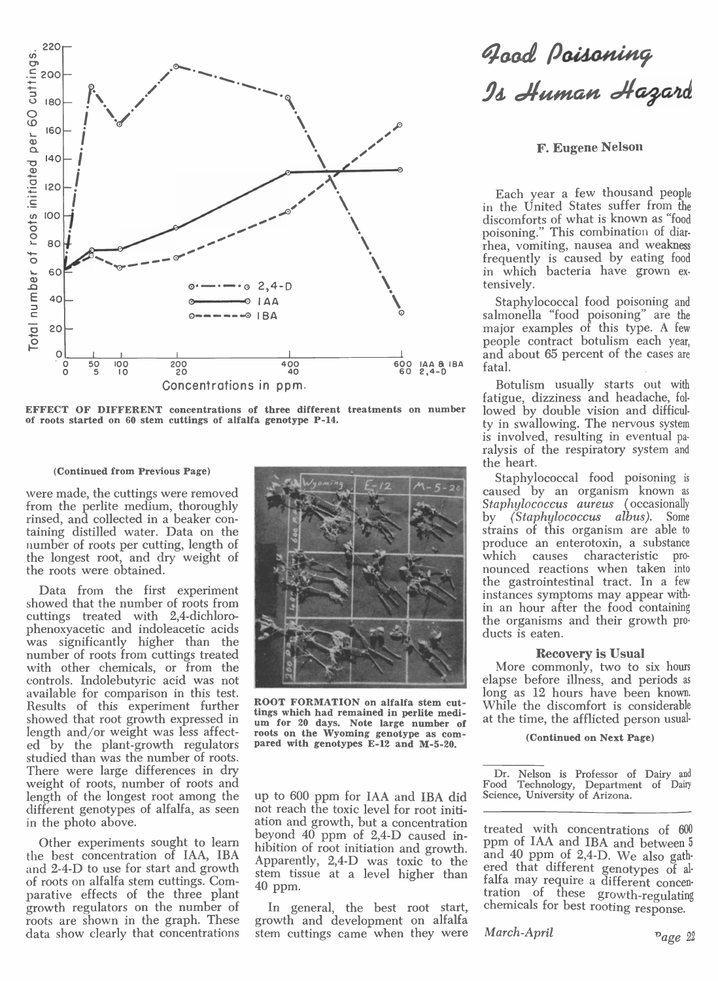

EFFECT OF DIFFERENT concentrations of three different treatments on number of roots started on 60 stem cuttings of alfalfa genotype P-14.

#### (Continued from Previous Page)

were made, the cuttings were removed from the perlite medium, thoroughly rinsed, and collected in a beaker containing distilled water. Data on the number of roots per cutting, length of the longest root, and dry weight of the roots were obtained.

Data from the first experiment showed that the number of roots from cuttings treated with 2,4-dichlorophenoxyacetic and indoleacetic acids was significantly higher than the number of roots from cuttings treated with other chemicals, or from the controls. Indolebutyric acid was not available for comparison in this test. Results of this experiment further showed that root growth expressed in length and/or weight was less affected by the plant-growth regulators studied than was the number of roots. There were large differences in dry weight of roots, number of roots and length of the longest root among the different genotypes of alfalfa, as seen in the photo above.

Other experiments sought to learn the best concentration of IAA, IBA and 2-4-D to use for start and growth of roots on alfalfa stem cuttings. Comparative effects of the three plant growth regulators on the number of roots are shown in the graph. These data show clearly that concentrations



ROOT FORMATION on alfalfa stem cuttings which had remained in perlite medium for 20 days. Note large number of roots on the Wyoming genotype as com-<br>pared with genotypes E-12 and M-5-20.

up to 600 ppm for IAA and IBA did not reach the toxic level for root initiation and growth, but a concentration beyond 40 ppm of 2,4-D caused inhibition of root initiation and growth. Apparently, 2,4-D was toxic to the stem tissue at a level higher than  $40$  ppm.

In general, the best root start, growth and development on alfalfa stem cuttings came when they were

# -<br>Js Human Hazard<br>Is Human Hazard

**F. Eugene Nelson** 

Each year a few thousand people in the United States suffer from the discomforts of what is known as "food poisoning." This combination of diarrhea, vomiting, nausea and weakness frequently is caused by eating food in which bacteria have grown extensively.

Staphylococcal food poisoning and salmonella "food poisoning" are the major examples of this type. A few people contract botulism each year, and about 65 percent of the cases are fatal.

Botulism usually starts out with fatigue, dizziness and headache, followed by double vision and difficulty in swallowing. The nervous system is involved, resulting in eventual paralysis of the respiratory system and the heart.

Staphylococcal food poisoning is caused by an organism known as Staphylococcus aureus (occasionally (Staphylococcus albus). Some  $\mathbf{b} \mathbf{v}$ strains of this organism are able to produce an enterotoxin, a substance which causes characteristic pronounced reactions when taken into<br>the gastrointestinal tract. In a few instances symptoms may appear within an hour after the food containing the organisms and their growth products is eaten.

#### **Recovery is Usual**

More commonly, two to six hours elapse before illness, and periods as long as 12 hours have been known. While the discomfort is considerable at the time, the afflicted person usual-

#### (Continued on Next Page)

Dr. Nelson is Professor of Dairy and<br>Food Technology, Department of Dairy Science, University of Arizona.

treated with concentrations of 600 ppm of IAA and IBA and between 5 and 40 ppm of 2,4-D. We also gathered that different genotypes of alfalfa may require a different concentration of these growth-regulating chemicals for best rooting response.

March-April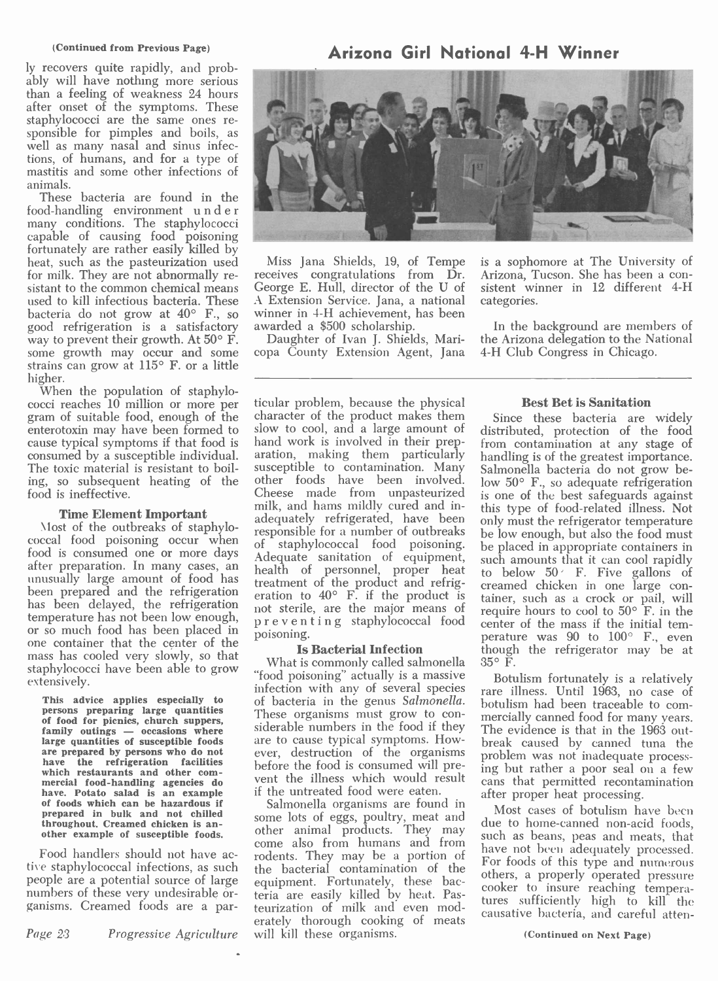#### (Continued from Previous Page)

ly recovers quite rapidly, and prob- ably will have nothing more serious than a feeling of weakness 24 hours after onset of the symptoms. These sponsible for pimples and boils, as well as many nasal and sinus infections, of humans, and for a type of mastitis and some other infections of animals.

These bacteria are found in the<br>food-handling environment under food-handling environment under many conditions. The staphylococci capable of causing food poisoning fortunately are rather easily killed by heat, such as the pasteurization used for milk. They are not abnormally resistant to the common chemical means George E. Hull, director of the U of used to kill infectious bacteria. These A Exte bacteria do not grow at 40° F., so winner in good refrigeration is a satisfactory awarded a  $$500$  scholarship.<br>way to prevent their growth. At  $50^{\circ}$  F. Daughter of Ivan J. Shields, Mariway to prevent their growth. At  $50^{\circ}$  F.  $\qquad$  Daugl some growth may occur and some  $\>$  copa Co strains can grow at 115° F. or a little

higher.<br>When the population of staphylo-<br>cocci reaches 10 million or more per gram of suitable food, enough of the character of the product makes them<br>enterotoxin may have been formed to slow to cool, and a large amount of enterotoxin may have been formed to cause typical symptoms if that food is consumed by a susceptible individual. The toxic material is resistant to boiling, so subsequent heating of the food is ineffective.

has been delayed, the retrigeration not sterile, are the major means of<br>temperature has not been low enough,  $p \r e v e n t i n g$  staphylococcal food<br>or so much food has been placed in poisoning. mass has cooled very slowly, so that staphylococci have been able to grow extensively.

which restaurants and other commercial food-handling agencies do went the illness which would result<br>have. Potato salad is an example if the untreated food were eaten.<br>of foods which can be hazardous if Salmonella organisms are found in prepared in bulk and not chilled throughout. Creamed chicken is an- other example of susceptible foods.

Food handlers should not have active staphylococcal infections, as such people are a potential source of large numbers of these very undesirable or-<br>ganisms. Creamed foods are a par-

Page 23 Progressive Agriculture

## Arizona Girl National 4 -H Winner



Miss Jana Shields, 19, of Tempe receives congratulations from Dr. A Extension Service. Jana, a national winner in 4-H achievement, has been awarded a \$500 scholarship.

copa County Extension Agent, Jana

is a sophomore at The University of Arizona, Tucson. She has been a consistent winner in 12 different 4-H categories.

In the background are members of the Arizona delegation to the National 4 -H Club Congress in Chicago.

Time Element Important<br>
Most of the outbreaks of staphylo-<br>
coccal food poisoning occur when<br>
food is consumed one or more days<br>
adequately refrigerated, have been<br>
responsible for a number of outbreaks<br>
coccal food poison food is consumed one or more days<br>after preparation. In many cases, an unusually large amount of food has<br>been prepared and the refrigeration to 40° F. if the product is the<br>has been delayed, the refrigeration has been de ticular problem, because the physical<br>
character of the product makes them<br>
Since these bacteria are widely hand work is involved in their preparation, making them particularly susceptible to contamination. Many Salmonella bacteria do not grow beother foods have been involved. Cheese made from unpasteurized adequately refrigerated, have been responsible for a number of outbreaks of staphylococcal food poisoning. health of personnel, proper heat to treatment of the product and refrig-<br>eration to  $40^{\circ}$  F. if the product is tainer, suc<br>not sterile, are the major means of prequire hor<br>preventing staphylococcal food center of t poisoning.

This advice applies especially to infection with any of several species<br>persons preparing large quantities These organisms must grow to conpersons preparing large quantities These organisms must grow to con-<br>of food for picnics, church suppers, family outings — occasions where siderable numbers in the food if they large quantities of susceptible foods are to cause typical symptoms. How-<br>are prepared by persons who do not ever, destruction of the organisms<br>have the refrigeration facilities before the food is consumed will pre-**Is Bacterial Infection**  $\frac{1}{2}$  though thous thous is commonly called salmonella  $35^{\circ}$  F. What is commonly called salmonella "food poisoning" actually is a massive of bacteria in the genus Salmonella. are to cause typical symptoms. However, destruction of the organisms if the untreated food were eaten.

Salmonella organisms are found in some lots of eggs, poultry, meat and<br>other animal products. They may such as b come also from humans and from  $\frac{\text{such as been}}{\text{have not been}}$ rodents. They may be a portion of  $\frac{\text{have}}{\text{For f}}$ the bacterial contamination of the  $\frac{r}{\text{other}}$ equipment. Fortunately, these bacteria are easily killed by heat. Pasteurization of milk and even moderately thorough cooking of meats will kill these organisms.

## Best Bet is Sanitation

distributed, protection of the food from contamination at any stage of handling is of the greatest importance. low 50° F., so adequate refrigeration is one of the best safeguards against this type of food- related illness. Not only must the refrigerator temperature be low enough, but also the food must be placed in appropriate containers in such amounts that it can cool rapidly to below 50 F. Five gallons of creamed chicken in one large container, such as a crock or pail, will require hours to cool to  $50^{\circ}$  F. in the center of the mass if the initial temperature was  $90$  to  $100^\circ$  F., even though the refrigerator may be at

Botulism fortunately is a relatively rare illness. Until 1963, no case of botulism had been traceable to commercially canned food for many years. The evidence is that in the 1963 outbreak caused by canned tuna the problem was not inadequate processing but rather a poor seal on a few cans that permitted recontamination after proper heat processing.

Most cases of botulism have been due to home-canned non-acid foods,<br>such as beans, peas and meats, that have not been adequately processed. For foods of this type and numerous others, a properly operated pressure cooker to insure reaching temperatures sufficiently high to kill the causative bacteria, and careful atten-